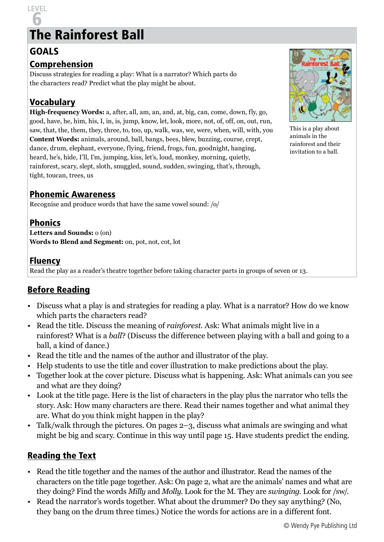# 6 The Rainforest Ball

#### GOALS

**LEVEL** 

#### Comprehension

Discuss strategies for reading a play: What is a narrator? Which parts do the characters read? Predict what the play might be about.

## Vocabulary

**High-frequency Words:** a, after, all, am, an, and, at, big, can, come, down, fly, go, good, have, he, him, his, I, in, is, jump, know, let, look, more, not, of, off, on, out, run, saw, that, the, them, they, three, to, too, up, walk, was, we, were, when, will, with, you **Content Words:** animals, around, ball, bangs, bees, blew, buzzing, course, crept, dance, drum, elephant, everyone, flying, friend, frogs, fun, goodnight, hanging, heard, he's, hide, I'll, I'm, jumping, kiss, let's, loud, monkey, morning, quietly, rainforest, scary, slept, sloth, snuggled, sound, sudden, swinging, that's, through, tight, toucan, trees, us

#### Phonemic Awareness

Recognise and produce words that have the same vowel sound: /o/

## Phonics

**Letters and Sounds:** o (on) **Words to Blend and Segment:** on, pot, not, cot, lot

#### Fluency

Read the play as a reader's theatre together before taking character parts in groups of seven or 13.

## Before Reading

- Discuss what a play is and strategies for reading a play. What is a narrator? How do we know which parts the characters read?
- Read the title. Discuss the meaning of *rainforest*. Ask: What animals might live in a rainforest? What is a *ball*? (Discuss the difference between playing with a ball and going to a ball, a kind of dance.)
- Read the title and the names of the author and illustrator of the play.
- Help students to use the title and cover illustration to make predictions about the play.
- Together look at the cover picture. Discuss what is happening. Ask: What animals can you see and what are they doing?
- Look at the title page. Here is the list of characters in the play plus the narrator who tells the story. Ask: How many characters are there. Read their names together and what animal they are. What do you think might happen in the play?
- Talk/walk through the pictures. On pages 2–3, discuss what animals are swinging and what might be big and scary. Continue in this way until page 15. Have students predict the ending.

#### Reading the Text

- Read the title together and the names of the author and illustrator. Read the names of the characters on the title page together. Ask: On page 2, what are the animals' names and what are they doing? Find the words *Milly* and *Molly*. Look for the M. They are *swinging*. Look for /sw/.
- Read the narrator's words together. What about the drummer? Do they say anything? (No, they bang on the drum three times.) Notice the words for actions are in a different font.



This is a play about animals in the rainforest and their invitation to a ball.